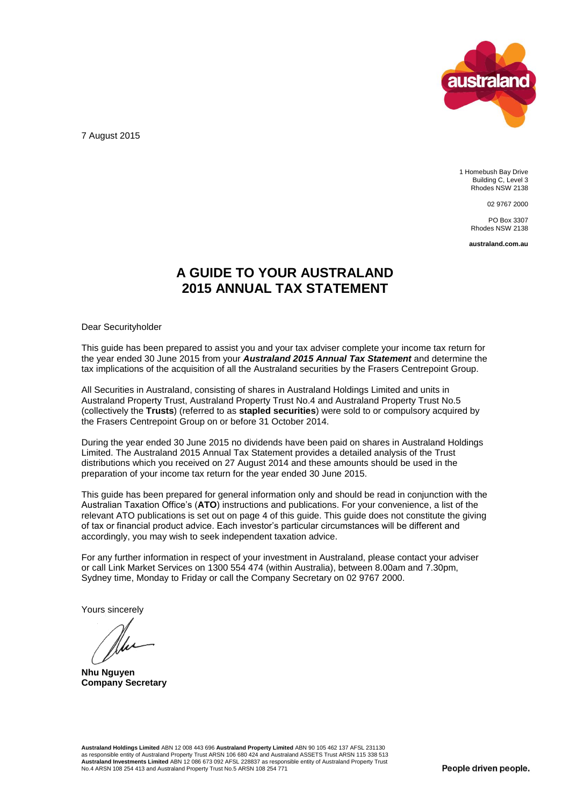

7 August 2015

1 Homebush Bay Drive Building C, Level 3 Rhodes NSW 2138

02 9767 2000

PO Box 3307 Rhodes NSW 2138

**australand.com.au**

## **A GUIDE TO YOUR AUSTRALAND 2015 ANNUAL TAX STATEMENT**

Dear Securityholder

This guide has been prepared to assist you and your tax adviser complete your income tax return for the year ended 30 June 2015 from your *Australand 2015 Annual Tax Statement* and determine the tax implications of the acquisition of all the Australand securities by the Frasers Centrepoint Group.

All Securities in Australand, consisting of shares in Australand Holdings Limited and units in Australand Property Trust, Australand Property Trust No.4 and Australand Property Trust No.5 (collectively the **Trusts**) (referred to as **stapled securities**) were sold to or compulsory acquired by the Frasers Centrepoint Group on or before 31 October 2014.

During the year ended 30 June 2015 no dividends have been paid on shares in Australand Holdings Limited. The Australand 2015 Annual Tax Statement provides a detailed analysis of the Trust distributions which you received on 27 August 2014 and these amounts should be used in the preparation of your income tax return for the year ended 30 June 2015.

This guide has been prepared for general information only and should be read in conjunction with the Australian Taxation Office's (**ATO**) instructions and publications. For your convenience, a list of the relevant ATO publications is set out on page 4 of this guide. This guide does not constitute the giving of tax or financial product advice. Each investor's particular circumstances will be different and accordingly, you may wish to seek independent taxation advice.

For any further information in respect of your investment in Australand, please contact your adviser or call Link Market Services on 1300 554 474 (within Australia), between 8.00am and 7.30pm, Sydney time, Monday to Friday or call the Company Secretary on 02 9767 2000.

Yours sincerely

**Nhu Nguyen Company Secretary**

**Australand Holdings Limited** ABN 12 008 443 696 **Australand Property Limited** ABN 90 105 462 137 AFSL 231130 as responsible entity of Australand Property Trust ARSN 106 680 424 and Australand ASSETS Trust ARSN 115 338 513<br>**Australand Investments Limited** ABN 12 086 673 092 AFSL 228837 as responsible entity of Australand Property No.4 ARSN 108 254 413 and Australand Property Trust No.5 ARSN 108 254 771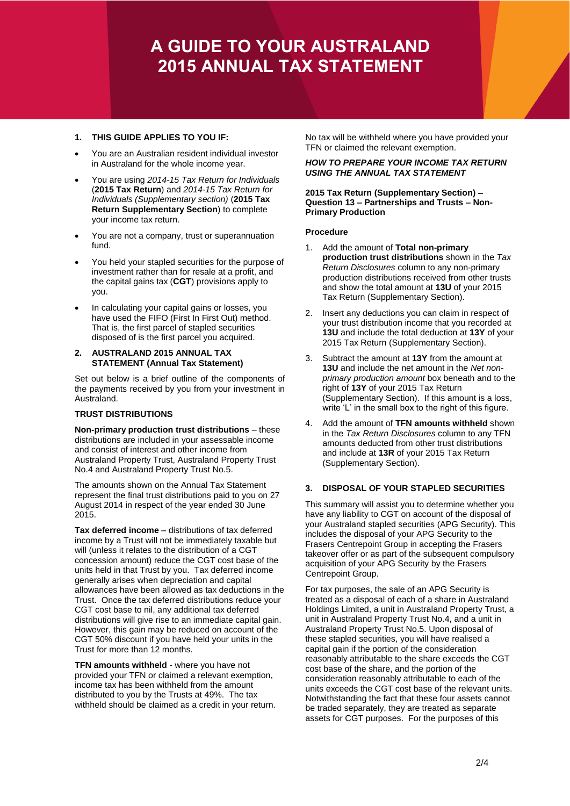# **A GUIDE TO YOUR AUSTRALAND 2015 ANNUAL TAX STATEMENT**

### **1. THIS GUIDE APPLIES TO YOU IF:**

- You are an Australian resident individual investor in Australand for the whole income year.
- You are using *2014-15 Tax Return for Individuals* (**2015 Tax Return**) and *2014-15 Tax Return for Individuals (Supplementary section)* (**2015 Tax Return Supplementary Section**) to complete your income tax return.
- You are not a company, trust or superannuation fund.
- You held your stapled securities for the purpose of investment rather than for resale at a profit, and the capital gains tax (**CGT**) provisions apply to you.
- In calculating your capital gains or losses, you have used the FIFO (First In First Out) method. That is, the first parcel of stapled securities disposed of is the first parcel you acquired.
- **2. AUSTRALAND 2015 ANNUAL TAX STATEMENT (Annual Tax Statement)**

Set out below is a brief outline of the components of the payments received by you from your investment in Australand.

#### **TRUST DISTRIBUTIONS**

**Non-primary production trust distributions** – these distributions are included in your assessable income and consist of interest and other income from Australand Property Trust, Australand Property Trust No.4 and Australand Property Trust No.5.

The amounts shown on the Annual Tax Statement represent the final trust distributions paid to you on 27 August 2014 in respect of the year ended 30 June 2015.

**Tax deferred income** – distributions of tax deferred income by a Trust will not be immediately taxable but will (unless it relates to the distribution of a CGT concession amount) reduce the CGT cost base of the units held in that Trust by you. Tax deferred income generally arises when depreciation and capital allowances have been allowed as tax deductions in the Trust. Once the tax deferred distributions reduce your CGT cost base to nil, any additional tax deferred distributions will give rise to an immediate capital gain. However, this gain may be reduced on account of the CGT 50% discount if you have held your units in the Trust for more than 12 months.

**TFN amounts withheld** - where you have not provided your TFN or claimed a relevant exemption, income tax has been withheld from the amount distributed to you by the Trusts at 49%. The tax withheld should be claimed as a credit in your return. No tax will be withheld where you have provided your TFN or claimed the relevant exemption.

#### *HOW TO PREPARE YOUR INCOME TAX RETURN USING THE ANNUAL TAX STATEMENT*

#### **2015 Tax Return (Supplementary Section) – Question 13 – Partnerships and Trusts – Non-Primary Production**

#### **Procedure**

- 1. Add the amount of **Total non-primary production trust distributions** shown in the *Tax Return Disclosures* column to any non-primary production distributions received from other trusts and show the total amount at **13U** of your 2015 Tax Return (Supplementary Section).
- 2. Insert any deductions you can claim in respect of your trust distribution income that you recorded at **13U** and include the total deduction at **13Y** of your 2015 Tax Return (Supplementary Section).
- 3. Subtract the amount at **13Y** from the amount at **13U** and include the net amount in the *Net nonprimary production amount* box beneath and to the right of **13Y** of your 2015 Tax Return (Supplementary Section). If this amount is a loss, write 'L' in the small box to the right of this figure.
- 4. Add the amount of **TFN amounts withheld** shown in the *Tax Return Disclosures* column to any TFN amounts deducted from other trust distributions and include at **13R** of your 2015 Tax Return (Supplementary Section).

#### **3. DISPOSAL OF YOUR STAPLED SECURITIES**

This summary will assist you to determine whether you have any liability to CGT on account of the disposal of your Australand stapled securities (APG Security). This includes the disposal of your APG Security to the Frasers Centrepoint Group in accepting the Frasers takeover offer or as part of the subsequent compulsory acquisition of your APG Security by the Frasers Centrepoint Group.

For tax purposes, the sale of an APG Security is treated as a disposal of each of a share in Australand Holdings Limited, a unit in Australand Property Trust, a unit in Australand Property Trust No.4, and a unit in Australand Property Trust No.5. Upon disposal of these stapled securities, you will have realised a capital gain if the portion of the consideration reasonably attributable to the share exceeds the CGT cost base of the share, and the portion of the consideration reasonably attributable to each of the units exceeds the CGT cost base of the relevant units. Notwithstanding the fact that these four assets cannot be traded separately, they are treated as separate assets for CGT purposes. For the purposes of this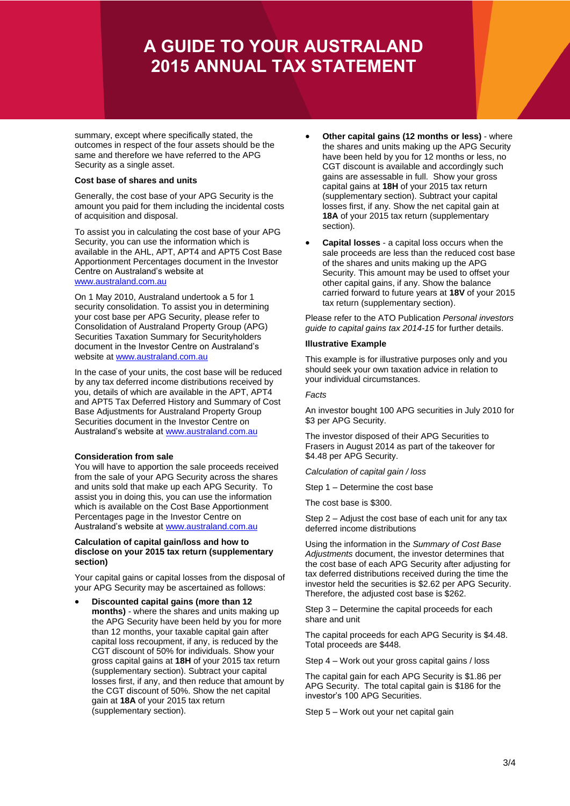## **A GUIDE TO YOUR AUSTRALAND 2015 ANNUAL TAX STATEMENT**

summary, except where specifically stated, the outcomes in respect of the four assets should be the same and therefore we have referred to the APG Security as a single asset.

#### **Cost base of shares and units**

Generally, the cost base of your APG Security is the amount you paid for them including the incidental costs of acquisition and disposal.

To assist you in calculating the cost base of your APG Security, you can use the information which is available in the AHL, APT, APT4 and APT5 Cost Base Apportionment Percentages document in the Investor Centre on Australand's website at [www.australand.com.au](http://www.australand.com.au/)

On 1 May 2010, Australand undertook a 5 for 1 security consolidation. To assist you in determining your cost base per APG Security, please refer to Consolidation of Australand Property Group (APG) Securities Taxation Summary for Securityholders document in the Investor Centre on Australand's website at [www.australand.com.au](http://www.australand.com.au/)

In the case of your units, the cost base will be reduced by any tax deferred income distributions received by you, details of which are available in the APT, APT4 and APT5 Tax Deferred History and Summary of Cost Base Adjustments for Australand Property Group Securities document in the Investor Centre on Australand's website at [www.australand.com.au](http://www.australand.com.au/)

#### **Consideration from sale**

You will have to apportion the sale proceeds received from the sale of your APG Security across the shares and units sold that make up each APG Security. To assist you in doing this, you can use the information which is available on the Cost Base Apportionment Percentages page in the Investor Centre on Australand's website at [www.australand.com.au](http://www.australand.com.au/)

#### **Calculation of capital gain/loss and how to disclose on your 2015 tax return (supplementary section)**

Your capital gains or capital losses from the disposal of your APG Security may be ascertained as follows:

 **Discounted capital gains (more than 12 months)** - where the shares and units making up the APG Security have been held by you for more than 12 months, your taxable capital gain after capital loss recoupment, if any, is reduced by the CGT discount of 50% for individuals. Show your gross capital gains at **18H** of your 2015 tax return (supplementary section). Subtract your capital losses first, if any, and then reduce that amount by the CGT discount of 50%. Show the net capital gain at **18A** of your 2015 tax return (supplementary section).

- **Other capital gains (12 months or less)**  where the shares and units making up the APG Security have been held by you for 12 months or less, no CGT discount is available and accordingly such gains are assessable in full. Show your gross capital gains at **18H** of your 2015 tax return (supplementary section). Subtract your capital losses first, if any. Show the net capital gain at **18A** of your 2015 tax return (supplementary section).
- **Capital losses**  a capital loss occurs when the sale proceeds are less than the reduced cost base of the shares and units making up the APG Security. This amount may be used to offset your other capital gains, if any. Show the balance carried forward to future years at **18V** of your 2015 tax return (supplementary section).

Please refer to the ATO Publication *Personal investors guide to capital gains tax 2014-15* for further details.

#### **Illustrative Example**

This example is for illustrative purposes only and you should seek your own taxation advice in relation to your individual circumstances.

#### *Facts*

An investor bought 100 APG securities in July 2010 for \$3 per APG Security.

The investor disposed of their APG Securities to Frasers in August 2014 as part of the takeover for \$4.48 per APG Security.

*Calculation of capital gain / loss*

Step 1 – Determine the cost base

The cost base is \$300.

Step 2 – Adjust the cost base of each unit for any tax deferred income distributions

Using the information in the *Summary of Cost Base Adjustments* document, the investor determines that the cost base of each APG Security after adjusting for tax deferred distributions received during the time the investor held the securities is \$2.62 per APG Security. Therefore, the adjusted cost base is \$262.

Step 3 – Determine the capital proceeds for each share and unit

The capital proceeds for each APG Security is \$4.48. Total proceeds are \$448.

Step 4 – Work out your gross capital gains / loss

The capital gain for each APG Security is \$1.86 per APG Security. The total capital gain is \$186 for the investor's 100 APG Securities.

Step 5 – Work out your net capital gain